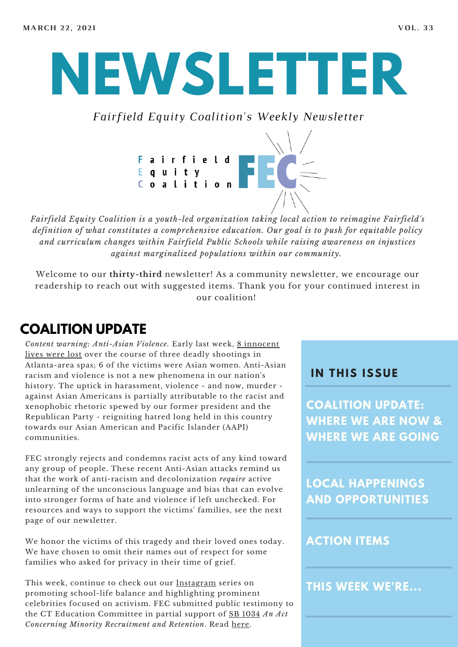# **NEWSLETTER**

*Fairfield Equity Coalition's Weekly Newsletter*



*Fairfield Equity Coalition is a youth-led organization taking local action to reimagine Fairfield's definition of what constitutes a comprehensive education. Our goal is to push for equitable policy and curriculum changes within Fairfield Public Schools while raising awareness on injustices against marginalized populations within our community.*

Welcome to our **thirty-third** newsletter! As a community newsletter, we encourage our readership to reach out with suggested items. Thank you for your continued interest in our coalition!

# **COALITION UPDATE**

*Content warning: [Anti-Asian](https://www.washingtonpost.com/nation/2021/03/20/atlanta-shooting-victims/) Violence.* Early last week, 8 innocent lives were lost over the course of three deadly shootings in Atlanta-area spas; 6 of the victims were Asian women. Anti-Asian racism and violence is not a new phenomena in our nation's history. The uptick in harassment, violence - and now, murder against Asian Americans is partially attributable to the racist and xenophobic rhetoric spewed by our former president and the Republican Party - reigniting hatred long held in this country towards our Asian American and Pacific Islander (AAPI) communities.

FEC strongly rejects and condemns racist acts of any kind toward any group of people. These recent Anti-Asian attacks remind us that the work of anti-racism and decolonization *require* active unlearning of the unconscious language and bias that can evolve into stronger forms of hate and violence if left unchecked. For resources and ways to support the victims' families, see the next page of our newsletter.

We honor the victims of this tragedy and their loved ones today. We have chosen to omit their names out of respect for some families who asked for privacy in their time of grief.

This week, continue to check out our [Instagram](https://www.instagram.com/fairfieldequitycoalition/) series on promoting school-life balance and highlighting prominent celebrities focused on activism. FEC submitted public testimony to the CT Education Committee in partial support of SB [1034](https://www.cga.ct.gov/asp/cgabillstatus/cgabillstatus.asp?selBillType=Bill&bill_num=SB1034&which_year=2021) *An Act Concerning Minority Recruitment and Retention*. Read [here.](https://446537e2-49eb-4509-91aa-d81e46fcbfe7.filesusr.com/ugd/57b32d_1d2e01a0229a4153904223ea76100e17.pdf)

#### **I N THIS ISSUE**

**COALITION UPDATE: WHERE WE ARE NOW & WHERE WE ARE GOING**

**LOCAL HAPPENINGS AND OPPORTUNITIES**

#### **ACTION ITEMS**

**THIS WEEK WE'RE...**